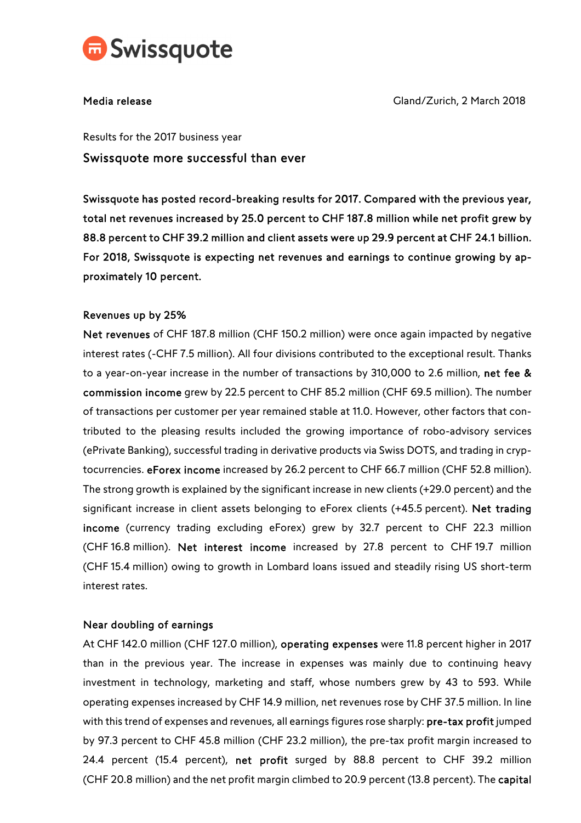

Media release Gland/Zurich, 2 March 2018

Results for the 2017 business year

Swissquote more successful than ever

Swissquote has posted record-breaking results for 2017. Compared with the previous year, total net revenues increased by 25.0 percent to CHF 187.8 million while net profit grew by 88.8 percent to CHF 39.2 million and client assets were up 29.9 percent at CHF 24.1 billion. For 2018, Swissquote is expecting net revenues and earnings to continue growing by approximately 10 percent.

## Revenues up by 25%

Net revenues of CHF 187.8 million (CHF 150.2 million) were once again impacted by negative interest rates (-CHF 7.5 million). All four divisions contributed to the exceptional result. Thanks to a year-on-year increase in the number of transactions by 310,000 to 2.6 million, net fee & commission income grew by 22.5 percent to CHF 85.2 million (CHF 69.5 million). The number of transactions per customer per year remained stable at 11.0. However, other factors that contributed to the pleasing results included the growing importance of robo-advisory services (ePrivate Banking), successful trading in derivative products via Swiss DOTS, and trading in cryptocurrencies. eForex income increased by 26.2 percent to CHF 66.7 million (CHF 52.8 million). The strong growth is explained by the significant increase in new clients (+29.0 percent) and the significant increase in client assets belonging to eForex clients (+45.5 percent). Net trading income (currency trading excluding eForex) grew by 32.7 percent to CHF 22.3 million (CHF 16.8 million). Net interest income increased by 27.8 percent to CHF 19.7 million (CHF 15.4 million) owing to growth in Lombard loans issued and steadily rising US short-term interest rates.

# Near doubling of earnings

At CHF 142.0 million (CHF 127.0 million), operating expenses were 11.8 percent higher in 2017 than in the previous year. The increase in expenses was mainly due to continuing heavy investment in technology, marketing and staff, whose numbers grew by 43 to 593. While operating expenses increased by CHF 14.9 million, net revenues rose by CHF 37.5 million. In line with this trend of expenses and revenues, all earnings figures rose sharply: pre-tax profit jumped by 97.3 percent to CHF 45.8 million (CHF 23.2 million), the pre-tax profit margin increased to 24.4 percent (15.4 percent), net profit surged by 88.8 percent to CHF 39.2 million (CHF 20.8 million) and the net profit margin climbed to 20.9 percent (13.8 percent). The capital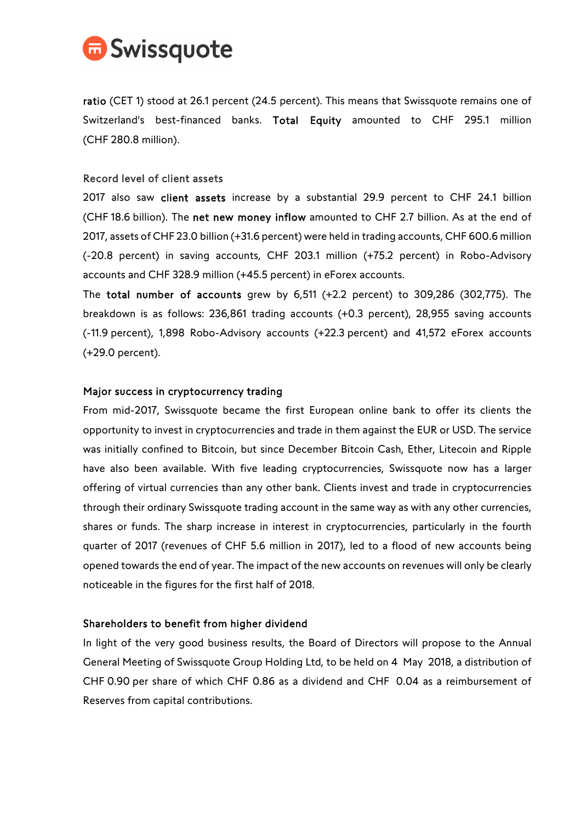

ratio (CET 1) stood at 26.1 percent (24.5 percent). This means that Swissquote remains one of Switzerland's best-financed banks. Total Equity amounted to CHF 295.1 million (CHF 280.8 million).

### Record level of client assets

2017 also saw client assets increase by a substantial 29.9 percent to CHF 24.1 billion (CHF 18.6 billion). The net new money inflow amounted to CHF 2.7 billion. As at the end of 2017, assets of CHF 23.0 billion (+31.6 percent) were held in trading accounts, CHF 600.6 million (-20.8 percent) in saving accounts, CHF 203.1 million (+75.2 percent) in Robo-Advisory accounts and CHF 328.9 million (+45.5 percent) in eForex accounts.

The total number of accounts grew by 6,511 (+2.2 percent) to 309,286 (302,775). The breakdown is as follows: 236,861 trading accounts (+0.3 percent), 28,955 saving accounts (-11.9 percent), 1,898 Robo-Advisory accounts (+22.3 percent) and 41,572 eForex accounts (+29.0 percent).

### Major success in cryptocurrency trading

From mid-2017, Swissquote became the first European online bank to offer its clients the opportunity to invest in cryptocurrencies and trade in them against the EUR or USD. The service was initially confined to Bitcoin, but since December Bitcoin Cash, Ether, Litecoin and Ripple have also been available. With five leading cryptocurrencies, Swissquote now has a larger offering of virtual currencies than any other bank. Clients invest and trade in cryptocurrencies through their ordinary Swissquote trading account in the same way as with any other currencies, shares or funds. The sharp increase in interest in cryptocurrencies, particularly in the fourth quarter of 2017 (revenues of CHF 5.6 million in 2017), led to a flood of new accounts being opened towards the end of year. The impact of the new accounts on revenues will only be clearly noticeable in the figures for the first half of 2018.

#### Shareholders to benefit from higher dividend

In light of the very good business results, the Board of Directors will propose to the Annual General Meeting of Swissquote Group Holding Ltd, to be held on 4 May 2018, a distribution of CHF 0.90 per share of which CHF 0.86 as a dividend and CHF 0.04 as a reimbursement of Reserves from capital contributions.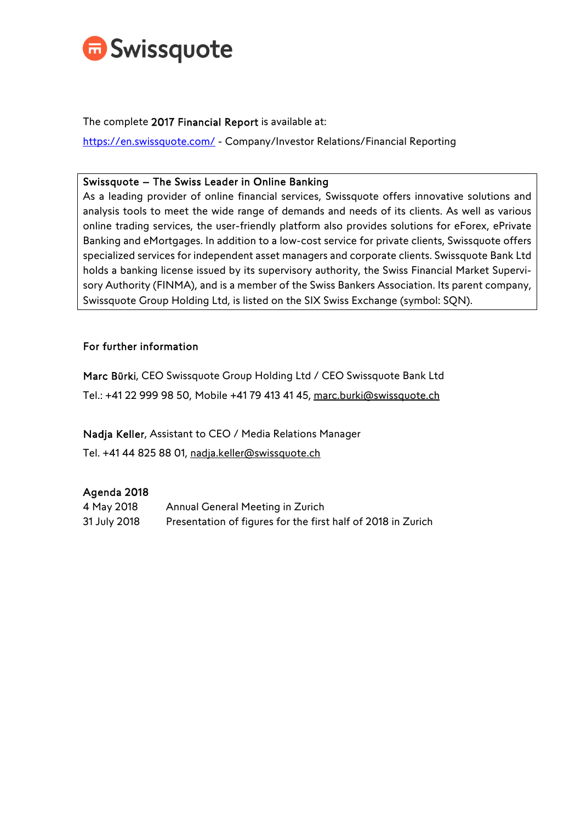

The complete 2017 Financial Report is available at:

https://en.swissquote.com/ - Company/Investor Relations/Financial Reporting

## Swissquote – The Swiss Leader in Online Banking

As a leading provider of online financial services, Swissquote offers innovative solutions and analysis tools to meet the wide range of demands and needs of its clients. As well as various online trading services, the user-friendly platform also provides solutions for eForex, ePrivate Banking and eMortgages. In addition to a low-cost service for private clients, Swissquote offers specialized services for independent asset managers and corporate clients. Swissquote Bank Ltd holds a banking license issued by its supervisory authority, the Swiss Financial Market Supervisory Authority (FINMA), and is a member of the Swiss Bankers Association. Its parent company, Swissquote Group Holding Ltd, is listed on the SIX Swiss Exchange (symbol: SQN).

## For further information

Marc Bürki, CEO Swissquote Group Holding Ltd / CEO Swissquote Bank Ltd Tel.: +41 22 999 98 50, Mobile +41 79 413 41 45, marc.burki@swissquote.ch

Nadja Keller, Assistant to CEO / Media Relations Manager

Tel. +41 44 825 88 01, nadja.keller@swissquote.ch

# Agenda 2018

| 4 May 2018   | Annual General Meeting in Zurich                             |
|--------------|--------------------------------------------------------------|
| 31 July 2018 | Presentation of figures for the first half of 2018 in Zurich |